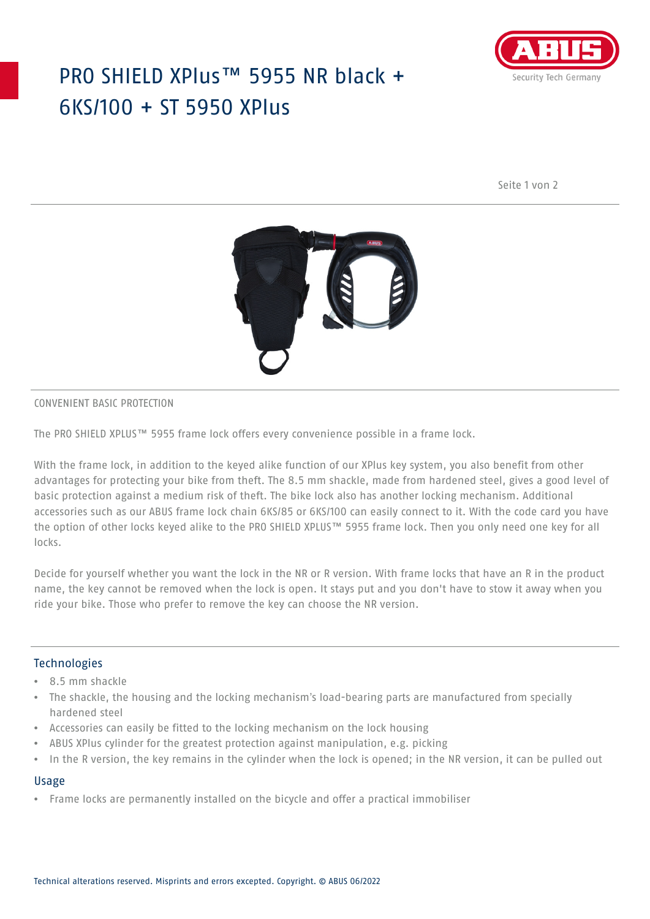# PRO SHIELD XPlus™ 5955 NR black + 6KS/100 + ST 5950 XPlus



Seite 1 von 2



### CONVENIENT BASIC PROTECTION

The PRO SHIELD XPLUS™ 5955 frame lock offers every convenience possible in a frame lock.

With the frame lock, in addition to the keyed alike function of our XPlus key system, you also benefit from other advantages for protecting your bike from theft. The 8.5 mm shackle, made from hardened steel, gives a good level of basic protection against a medium risk of theft. The bike lock also has another locking mechanism. Additional accessories such as our ABUS frame lock chain 6KS/85 or 6KS/100 can easily connect to it. With the code card you have the option of other locks keyed alike to the PRO SHIELD XPLUS™ 5955 frame lock. Then you only need one key for all locks.

Decide for yourself whether you want the lock in the NR or R version. With frame locks that have an R in the product name, the key cannot be removed when the lock is open. It stays put and you don't have to stow it away when you ride your bike. Those who prefer to remove the key can choose the NR version.

## Technologies

- 8.5 mm shackle
- The shackle, the housing and the locking mechanism's load-bearing parts are manufactured from specially hardened steel
- Accessories can easily be fitted to the locking mechanism on the lock housing
- ABUS XPlus cylinder for the greatest protection against manipulation, e.g. picking
- In the R version, the key remains in the cylinder when the lock is opened; in the NR version, it can be pulled out

#### Usage

• Frame locks are permanently installed on the bicycle and offer a practical immobiliser